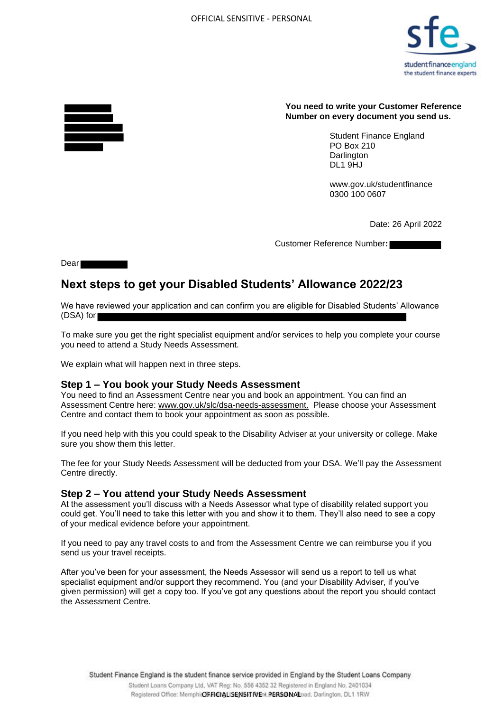

#### **You need to write your Customer Reference Number on every document you send us.**

Student Finance England PO Box 210 **Darlington** DL1 9HJ

www.gov.uk/studentfinance 0300 100 0607

Date: 26 April 2022

Customer Reference Number**:** 

Dear **Dear** 

# **Next steps to get your Disabled Students' Allowance 2022/23**

We have reviewed your application and can confirm you are eligible for Disabled Students' Allowance (DSA) for

To make sure you get the right specialist equipment and/or services to help you complete your course you need to attend a Study Needs Assessment.

We explain what will happen next in three steps.

## **Step 1 – You book your Study Needs Assessment**

You need to find an Assessment Centre near you and book an appointment. You can find an Assessment Centre here: www.gov.uk/slc/dsa-needs-assessment. Please choose your Assessment Centre and contact them to book your appointment as soon as possible.

If you need help with this you could speak to the Disability Adviser at your university or college. Make sure you show them this letter.

The fee for your Study Needs Assessment will be deducted from your DSA. We'll pay the Assessment Centre directly.

## **Step 2 – You attend your Study Needs Assessment**

At the assessment you'll discuss with a Needs Assessor what type of disability related support you could get. You'll need to take this letter with you and show it to them. They'll also need to see a copy of your medical evidence before your appointment.

If you need to pay any travel costs to and from the Assessment Centre we can reimburse you if you send us your travel receipts.

After you've been for your assessment, the Needs Assessor will send us a report to tell us what specialist equipment and/or support they recommend. You (and your Disability Adviser, if you've given permission) will get a copy too. If you've got any questions about the report you should contact the Assessment Centre.